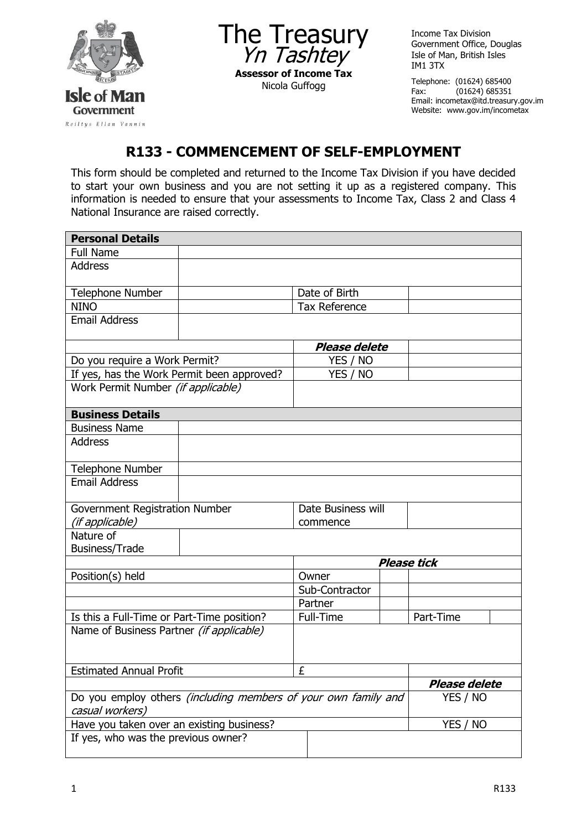

The Treasury Yn Tashtey **Assessor of Income Tax** Nicola Guffogg

Income Tax Division Government Office, Douglas Isle of Man, British Isles IM1 3TX

Telephone: (01624) 685400<br>Fax: (01624) 685351  $(01624)$  685351 Email: incometax@itd.treasury.gov.im Website: www.gov.im/incometax

## **R133 - COMMENCEMENT OF SELF-EMPLOYMENT**

This form should be completed and returned to the Income Tax Division if you have decided to start your own business and you are not setting it up as a registered company. This information is needed to ensure that your assessments to Income Tax, Class 2 and Class 4 National Insurance are raised correctly.

| <b>Personal Details</b>                                                                  |               |   |                      |                      |           |  |  |  |
|------------------------------------------------------------------------------------------|---------------|---|----------------------|----------------------|-----------|--|--|--|
| <b>Full Name</b>                                                                         |               |   |                      |                      |           |  |  |  |
| <b>Address</b>                                                                           |               |   |                      |                      |           |  |  |  |
|                                                                                          |               |   |                      |                      |           |  |  |  |
| <b>Telephone Number</b>                                                                  | Date of Birth |   |                      |                      |           |  |  |  |
| <b>NINO</b>                                                                              |               |   | <b>Tax Reference</b> |                      |           |  |  |  |
| <b>Email Address</b>                                                                     |               |   |                      |                      |           |  |  |  |
|                                                                                          |               |   |                      |                      |           |  |  |  |
|                                                                                          |               |   | <b>Please delete</b> |                      |           |  |  |  |
| Do you require a Work Permit?                                                            |               |   | YES / NO             |                      |           |  |  |  |
| If yes, has the Work Permit been approved?                                               |               |   | YES / NO             |                      |           |  |  |  |
| Work Permit Number (if applicable)                                                       |               |   |                      |                      |           |  |  |  |
|                                                                                          |               |   |                      |                      |           |  |  |  |
| <b>Business Details</b>                                                                  |               |   |                      |                      |           |  |  |  |
| <b>Business Name</b>                                                                     |               |   |                      |                      |           |  |  |  |
| <b>Address</b>                                                                           |               |   |                      |                      |           |  |  |  |
|                                                                                          |               |   |                      |                      |           |  |  |  |
| <b>Telephone Number</b>                                                                  |               |   |                      |                      |           |  |  |  |
| <b>Email Address</b>                                                                     |               |   |                      |                      |           |  |  |  |
|                                                                                          |               |   |                      |                      |           |  |  |  |
| Government Registration Number                                                           |               |   | Date Business will   |                      |           |  |  |  |
| (if applicable)                                                                          |               |   | commence             |                      |           |  |  |  |
| Nature of                                                                                |               |   |                      |                      |           |  |  |  |
| <b>Business/Trade</b>                                                                    |               |   |                      |                      |           |  |  |  |
|                                                                                          |               |   | <b>Please tick</b>   |                      |           |  |  |  |
| Position(s) held                                                                         |               |   | Owner                |                      |           |  |  |  |
|                                                                                          |               |   | Sub-Contractor       |                      |           |  |  |  |
|                                                                                          |               |   | Partner              |                      |           |  |  |  |
| Is this a Full-Time or Part-Time position?                                               |               |   | Full-Time            |                      | Part-Time |  |  |  |
| Name of Business Partner (if applicable)                                                 |               |   |                      |                      |           |  |  |  |
|                                                                                          |               |   |                      |                      |           |  |  |  |
|                                                                                          |               | £ |                      |                      |           |  |  |  |
| <b>Estimated Annual Profit</b>                                                           |               |   |                      |                      |           |  |  |  |
|                                                                                          |               |   |                      | <b>Please delete</b> |           |  |  |  |
| Do you employ others <i>(including members of your own family and</i><br>casual workers) |               |   |                      |                      | YES / NO  |  |  |  |
| Have you taken over an existing business?                                                |               |   |                      |                      | YES / NO  |  |  |  |
| If yes, who was the previous owner?                                                      |               |   |                      |                      |           |  |  |  |
|                                                                                          |               |   |                      |                      |           |  |  |  |